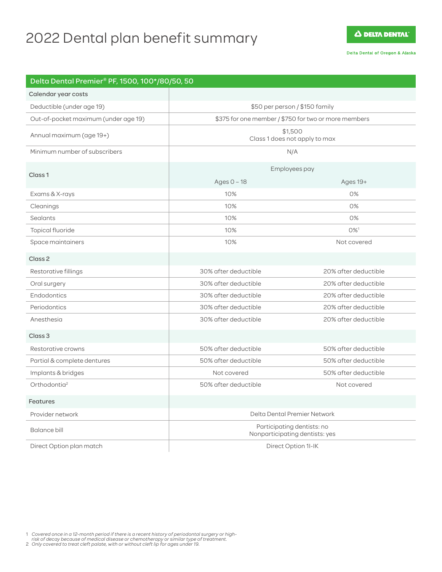# 2022 Dental plan benefit summary

**A DELTA DENTAL** 

Delta Dental of Oregon & Alaska

| Delta Dental Premier® PF, 1500, 100*/80/50, 50 |                                                              |                      |
|------------------------------------------------|--------------------------------------------------------------|----------------------|
| Calendar year costs                            |                                                              |                      |
| Deductible (under age 19)                      | \$50 per person / \$150 family                               |                      |
| Out-of-pocket maximum (under age 19)           | \$375 for one member / \$750 for two or more members         |                      |
| Annual maximum (age 19+)                       | \$1,500<br>Class 1 does not apply to max                     |                      |
| Minimum number of subscribers                  | N/A                                                          |                      |
| Class <sub>1</sub>                             | Employees pay                                                |                      |
|                                                | Ages $0 - 18$                                                | Ages 19+             |
| Exams & X-rays                                 | 10%                                                          | 0%                   |
| Cleanings                                      | 10%                                                          | 0%                   |
| Sealants                                       | 10%                                                          | 0%                   |
| Topical fluoride                               | 10%                                                          | $0\%$ <sup>1</sup>   |
| Space maintainers                              | 10%                                                          | Not covered          |
| Class <sub>2</sub>                             |                                                              |                      |
| Restorative fillings                           | 30% after deductible                                         | 20% after deductible |
| Oral surgery                                   | 30% after deductible                                         | 20% after deductible |
| Endodontics                                    | 30% after deductible                                         | 20% after deductible |
| Periodontics                                   | 30% after deductible                                         | 20% after deductible |
| Anesthesia                                     | 30% after deductible                                         | 20% after deductible |
| Class <sub>3</sub>                             |                                                              |                      |
| Restorative crowns                             | 50% after deductible                                         | 50% after deductible |
| Partial & complete dentures                    | 50% after deductible                                         | 50% after deductible |
| Implants & bridges                             | Not covered                                                  | 50% after deductible |
| Orthodontia <sup>2</sup>                       | 50% after deductible                                         | Not covered          |
| <b>Features</b>                                |                                                              |                      |
| Provider network                               | Delta Dental Premier Network                                 |                      |
| Balance bill                                   | Participating dentists: no<br>Nonparticipating dentists: yes |                      |
| Direct Option plan match                       | Direct Option 1I-IK                                          |                      |

1 *Covered once in a 12-month period if there is a recent history of periodontal surgery or high-risk of decay because of medical disease or chemotherapy or similar type of treatment.* 2 *Only covered to treat cleft palate, with or without cleft lip for ages under 19.*